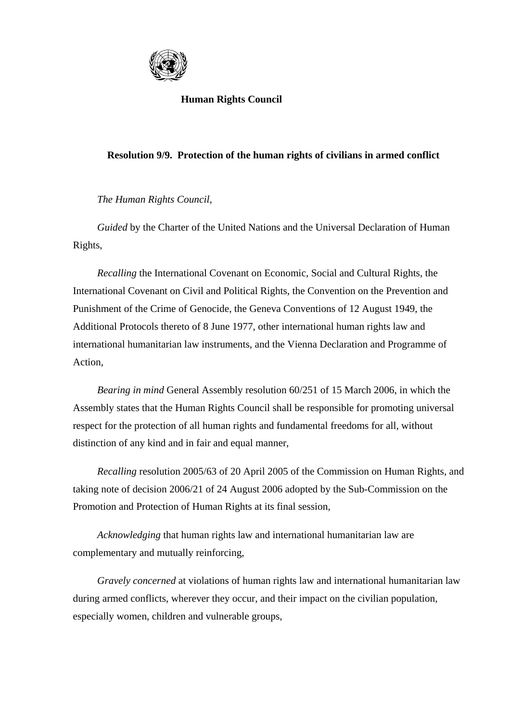

## **Human Rights Council**

## **Resolution 9/9. Protection of the human rights of civilians in armed conflict**

 *The Human Rights Council*,

 *Guided* by the Charter of the United Nations and the Universal Declaration of Human Rights,

 *Recalling* the International Covenant on Economic, Social and Cultural Rights, the International Covenant on Civil and Political Rights, the Convention on the Prevention and Punishment of the Crime of Genocide, the Geneva Conventions of 12 August 1949, the Additional Protocols thereto of 8 June 1977, other international human rights law and international humanitarian law instruments, and the Vienna Declaration and Programme of Action,

 *Bearing in mind* General Assembly resolution 60/251 of 15 March 2006, in which the Assembly states that the Human Rights Council shall be responsible for promoting universal respect for the protection of all human rights and fundamental freedoms for all, without distinction of any kind and in fair and equal manner,

 *Recalling* resolution 2005/63 of 20 April 2005 of the Commission on Human Rights, and taking note of decision 2006/21 of 24 August 2006 adopted by the Sub-Commission on the Promotion and Protection of Human Rights at its final session,

 *Acknowledging* that human rights law and international humanitarian law are complementary and mutually reinforcing,

 *Gravely concerned* at violations of human rights law and international humanitarian law during armed conflicts, wherever they occur, and their impact on the civilian population, especially women, children and vulnerable groups,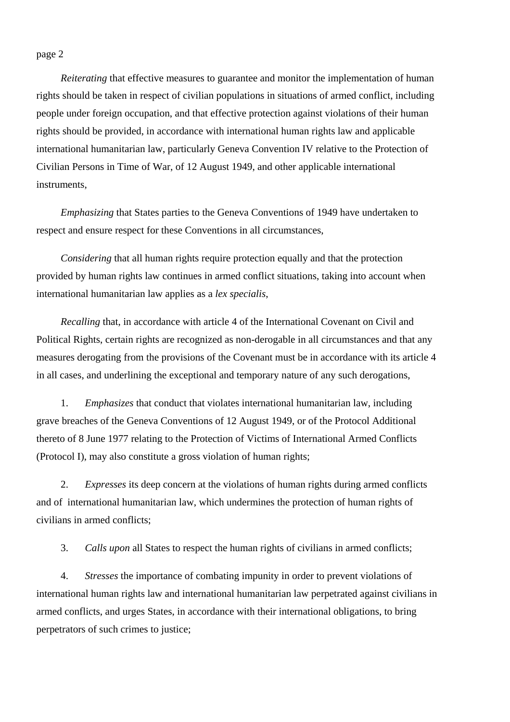page 2

 *Reiterating* that effective measures to guarantee and monitor the implementation of human rights should be taken in respect of civilian populations in situations of armed conflict, including people under foreign occupation, and that effective protection against violations of their human rights should be provided, in accordance with international human rights law and applicable international humanitarian law, particularly Geneva Convention IV relative to the Protection of Civilian Persons in Time of War, of 12 August 1949, and other applicable international instruments,

*Emphasizing* that States parties to the Geneva Conventions of 1949 have undertaken to respect and ensure respect for these Conventions in all circumstances,

*Considering* that all human rights require protection equally and that the protection provided by human rights law continues in armed conflict situations, taking into account when international humanitarian law applies as a *lex specialis*,

 *Recalling* that, in accordance with article 4 of the International Covenant on Civil and Political Rights, certain rights are recognized as non-derogable in all circumstances and that any measures derogating from the provisions of the Covenant must be in accordance with its article 4 in all cases, and underlining the exceptional and temporary nature of any such derogations,

 1. *Emphasizes* that conduct that violates international humanitarian law, including grave breaches of the Geneva Conventions of 12 August 1949, or of the Protocol Additional thereto of 8 June 1977 relating to the Protection of Victims of International Armed Conflicts (Protocol I), may also constitute a gross violation of human rights;

 2. *Expresses* its deep concern at the violations of human rights during armed conflicts and of international humanitarian law, which undermines the protection of human rights of civilians in armed conflicts;

3. *Calls upon* all States to respect the human rights of civilians in armed conflicts;

 4. *Stresses* the importance of combating impunity in order to prevent violations of international human rights law and international humanitarian law perpetrated against civilians in armed conflicts, and urges States, in accordance with their international obligations, to bring perpetrators of such crimes to justice;